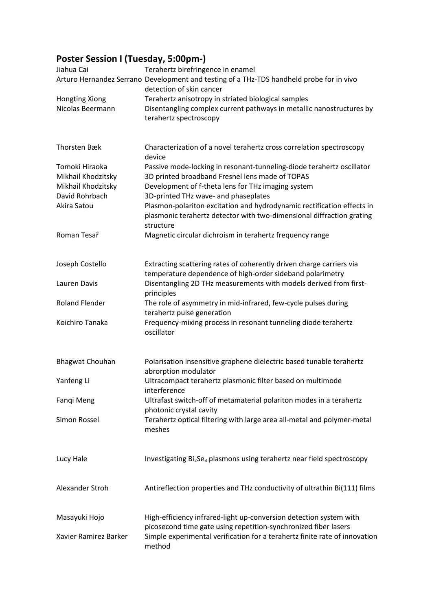## **Poster Session I (Tuesday, 5:00pm-)**

| Jiahua Cai             | Terahertz birefringence in enamel                                                                                                                            |
|------------------------|--------------------------------------------------------------------------------------------------------------------------------------------------------------|
|                        | Arturo Hernandez Serrano Development and testing of a THz-TDS handheld probe for in vivo<br>detection of skin cancer                                         |
| <b>Hongting Xiong</b>  | Terahertz anisotropy in striated biological samples                                                                                                          |
| Nicolas Beermann       | Disentangling complex current pathways in metallic nanostructures by<br>terahertz spectroscopy                                                               |
| Thorsten Bæk           | Characterization of a novel terahertz cross correlation spectroscopy                                                                                         |
| Tomoki Hiraoka         | device                                                                                                                                                       |
| Mikhail Khodzitsky     | Passive mode-locking in resonant-tunneling-diode terahertz oscillator<br>3D printed broadband Fresnel lens made of TOPAS                                     |
| Mikhail Khodzitsky     | Development of f-theta lens for THz imaging system                                                                                                           |
| David Rohrbach         | 3D-printed THz wave- and phaseplates                                                                                                                         |
| Akira Satou            | Plasmon-polariton excitation and hydrodynamic rectification effects in<br>plasmonic terahertz detector with two-dimensional diffraction grating<br>structure |
| Roman Tesař            | Magnetic circular dichroism in terahertz frequency range                                                                                                     |
| Joseph Costello        | Extracting scattering rates of coherently driven charge carriers via<br>temperature dependence of high-order sideband polarimetry                            |
| Lauren Davis           | Disentangling 2D THz measurements with models derived from first-<br>principles                                                                              |
| <b>Roland Flender</b>  | The role of asymmetry in mid-infrared, few-cycle pulses during<br>terahertz pulse generation                                                                 |
| Koichiro Tanaka        | Frequency-mixing process in resonant tunneling diode terahertz<br>oscillator                                                                                 |
| <b>Bhagwat Chouhan</b> | Polarisation insensitive graphene dielectric based tunable terahertz                                                                                         |
| Yanfeng Li             | abrorption modulator<br>Ultracompact terahertz plasmonic filter based on multimode                                                                           |
| Fangi Meng             | interference<br>Ultrafast switch-off of metamaterial polariton modes in a terahertz<br>photonic crystal cavity                                               |
| Simon Rossel           | Terahertz optical filtering with large area all-metal and polymer-metal<br>meshes                                                                            |
| Lucy Hale              | Investigating Bi <sub>2</sub> Se <sub>3</sub> plasmons using terahertz near field spectroscopy                                                               |
| Alexander Stroh        | Antireflection properties and THz conductivity of ultrathin Bi(111) films                                                                                    |
| Masayuki Hojo          | High-efficiency infrared-light up-conversion detection system with<br>picosecond time gate using repetition-synchronized fiber lasers                        |
| Xavier Ramirez Barker  | Simple experimental verification for a terahertz finite rate of innovation<br>method                                                                         |